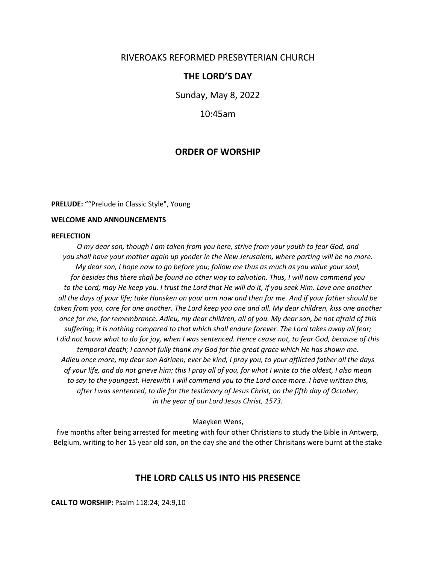# RIVEROAKS REFORMED PRESBYTERIAN CHURCH

# **THE LORD'S DAY**

Sunday, May 8, 2022

10:45am

# **ORDER OF WORSHIP**

**PRELUDE:** ""Prelude in Classic Style", Young

#### **WELCOME AND ANNOUNCEMENTS**

#### **REFLECTION**

*O my dear son, though I am taken from you here, strive from your youth to fear God, and you shall have your mother again up yonder in the New Jerusalem, where parting will be no more. My dear son, I hope now to go before you; follow me thus as much as you value your soul, for besides this there shall be found no other way to salvation. Thus, I will now commend you to the Lord; may He keep you. I trust the Lord that He will do it, if you seek Him. Love one another all the days of your life; take Hansken on your arm now and then for me. And if your father should be taken from you, care for one another. The Lord keep you one and all. My dear children, kiss one another once for me, for remembrance. Adieu, my dear children, all of you. My dear son, be not afraid of this suffering; it is nothing compared to that which shall endure forever. The Lord takes away all fear; I did not know what to do for joy, when I was sentenced. Hence cease not, to fear God, because of this temporal death; I cannot fully thank my God for the great grace which He has shown me. Adieu once more, my dear son Adriaen; ever be kind, I pray you, to your afflicted father all the days of your life, and do not grieve him; this I pray all of you, for what I write to the oldest, I also mean to say to the youngest. Herewith I will commend you to the Lord once more. I have written this, after I was sentenced, to die for the testimony of Jesus Christ, on the fifth day of October, in the year of our Lord Jesus Christ, 1573.*

#### Maeyken Wens,

five months after being arrested for meeting with four other Christians to study the Bible in Antwerp, Belgium, writing to her 15 year old son, on the day she and the other Chrisitans were burnt at the stake

# **THE LORD CALLS US INTO HIS PRESENCE**

**CALL TO WORSHIP:** Psalm 118:24; 24:9,10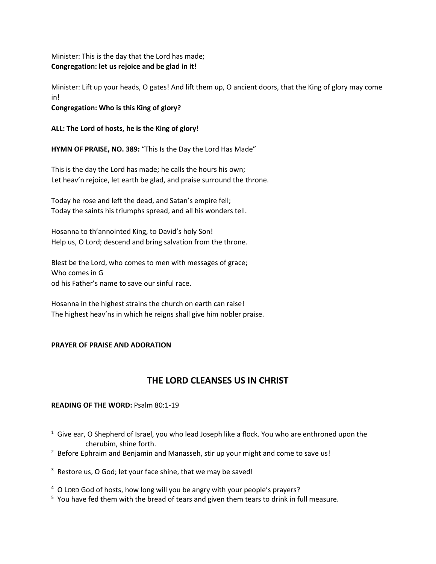Minister: This is the day that the Lord has made; **Congregation: let us rejoice and be glad in it!**

Minister: Lift up your heads, O gates! And lift them up, O ancient doors, that the King of glory may come in!

**Congregation: Who is this King of glory?**

**ALL: The Lord of hosts, he is the King of glory!**

**HYMN OF PRAISE, NO. 389:** "This Is the Day the Lord Has Made"

This is the day the Lord has made; he calls the hours his own; Let heav'n rejoice, let earth be glad, and praise surround the throne.

Today he rose and left the dead, and Satan's empire fell; Today the saints his triumphs spread, and all his wonders tell.

Hosanna to th'annointed King, to David's holy Son! Help us, O Lord; descend and bring salvation from the throne.

Blest be the Lord, who comes to men with messages of grace; Who comes in G od his Father's name to save our sinful race.

Hosanna in the highest strains the church on earth can raise! The highest heav'ns in which he reigns shall give him nobler praise.

# **PRAYER OF PRAISE AND ADORATION**

# **THE LORD CLEANSES US IN CHRIST**

# **READING OF THE WORD:** Psalm 80:1-19

- $1$  Give ear, O Shepherd of Israel, you who lead Joseph like a flock. You who are enthroned upon the cherubim, shine forth.
- $2<sup>2</sup>$  Before Ephraim and Benjamin and Manasseh, stir up your might and come to save us!
- <sup>3</sup> Restore us, O God; let your face shine, that we may be saved!
- <sup>4</sup> O LORD God of hosts, how long will you be angry with your people's prayers?
- <sup>5</sup> You have fed them with the bread of tears and given them tears to drink in full measure.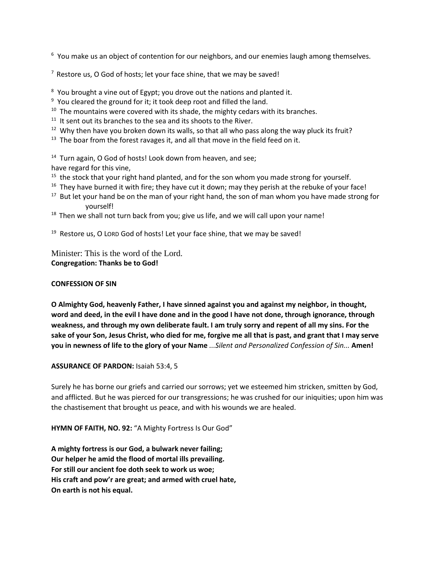$6$  You make us an object of contention for our neighbors, and our enemies laugh among themselves.

 $7$  Restore us, O God of hosts; let your face shine, that we may be saved!

<sup>8</sup> You brought a vine out of Egypt; you drove out the nations and planted it.

- $9$  You cleared the ground for it; it took deep root and filled the land.
- $10$  The mountains were covered with its shade, the mighty cedars with its branches.
- $11$  It sent out its branches to the sea and its shoots to the River.
- $12$  Why then have you broken down its walls, so that all who pass along the way pluck its fruit?
- $13$  The boar from the forest ravages it, and all that move in the field feed on it.

<sup>14</sup> Turn again, O God of hosts! Look down from heaven, and see; have regard for this vine,

- $15$  the stock that your right hand planted, and for the son whom you made strong for yourself.
- $16$  They have burned it with fire; they have cut it down; may they perish at the rebuke of your face!
- $17$  But let your hand be on the man of your right hand, the son of man whom you have made strong for yourself!
- $18$  Then we shall not turn back from you; give us life, and we will call upon your name!

 $19$  Restore us, O LORD God of hosts! Let your face shine, that we may be saved!

Minister: This is the word of the Lord. **Congregation: Thanks be to God!**

#### **CONFESSION OF SIN**

**O Almighty God, heavenly Father, I have sinned against you and against my neighbor, in thought, word and deed, in the evil I have done and in the good I have not done, through ignorance, through weakness, and through my own deliberate fault. I am truly sorry and repent of all my sins. For the sake of your Son, Jesus Christ, who died for me, forgive me all that is past, and grant that I may serve you in newness of life to the glory of your Name** *...Silent and Personalized Confession of Sin...* **Amen!**

#### **ASSURANCE OF PARDON:** Isaiah 53:4, 5

Surely he has borne our griefs and carried our sorrows; yet we esteemed him stricken, smitten by God, and afflicted. But he was pierced for our transgressions; he was crushed for our iniquities; upon him was the chastisement that brought us peace, and with his wounds we are healed.

**HYMN OF FAITH, NO. 92:** "A Mighty Fortress Is Our God"

**A mighty fortress is our God, a bulwark never failing; Our helper he amid the flood of mortal ills prevailing. For still our ancient foe doth seek to work us woe; His craft and pow'r are great; and armed with cruel hate, On earth is not his equal.**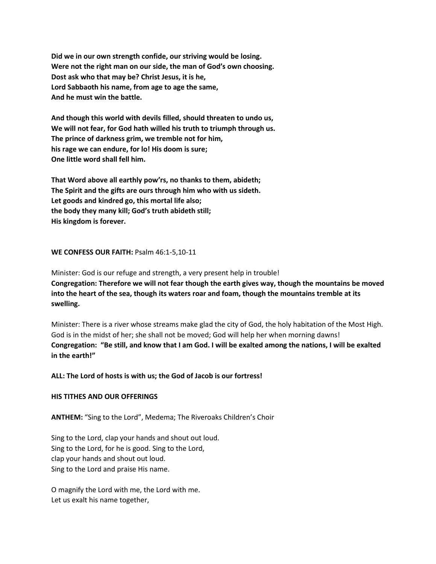**Did we in our own strength confide, our striving would be losing. Were not the right man on our side, the man of God's own choosing. Dost ask who that may be? Christ Jesus, it is he, Lord Sabbaoth his name, from age to age the same, And he must win the battle.**

**And though this world with devils filled, should threaten to undo us, We will not fear, for God hath willed his truth to triumph through us. The prince of darkness grim, we tremble not for him, his rage we can endure, for lo! His doom is sure; One little word shall fell him.**

**That Word above all earthly pow'rs, no thanks to them, abideth; The Spirit and the gifts are ours through him who with us sideth. Let goods and kindred go, this mortal life also; the body they many kill; God's truth abideth still; His kingdom is forever.**

# **WE CONFESS OUR FAITH:** Psalm 46:1-5,10-11

Minister: God is our refuge and strength, a very present help in trouble! **Congregation: Therefore we will not fear though the earth gives way, though the mountains be moved into the heart of the sea, though its waters roar and foam, though the mountains tremble at its swelling.**

Minister: There is a river whose streams make glad the city of God, the holy habitation of the Most High. God is in the midst of her; she shall not be moved; God will help her when morning dawns! **Congregation: "Be still, and know that I am God. I will be exalted among the nations, I will be exalted in the earth!"**

# **ALL: The Lord of hosts is with us; the God of Jacob is our fortress!**

#### **HIS TITHES AND OUR OFFERINGS**

**ANTHEM:** "Sing to the Lord", Medema; The Riveroaks Children's Choir

Sing to the Lord, clap your hands and shout out loud. Sing to the Lord, for he is good. Sing to the Lord, clap your hands and shout out loud. Sing to the Lord and praise His name.

O magnify the Lord with me, the Lord with me. Let us exalt his name together,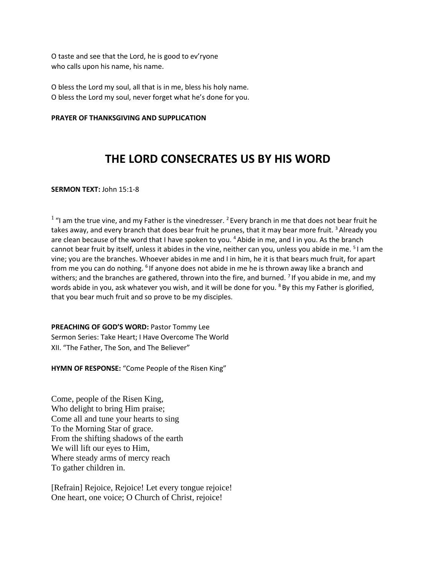O taste and see that the Lord, he is good to ev'ryone who calls upon his name, his name.

O bless the Lord my soul, all that is in me, bless his holy name. O bless the Lord my soul, never forget what he's done for you.

#### **PRAYER OF THANKSGIVING AND SUPPLICATION**

# **THE LORD CONSECRATES US BY HIS WORD**

#### **SERMON TEXT:** John 15:1-8

 $<sup>1</sup>$  "I am the true vine, and my Father is the vinedresser. <sup>2</sup> Every branch in me that does not bear fruit he</sup> takes away, and every branch that does bear fruit he prunes, that it may bear more fruit.<sup>3</sup> Already you are clean because of the word that I have spoken to you. <sup>4</sup> Abide in me, and I in you. As the branch cannot bear fruit by itself, unless it abides in the vine, neither can you, unless you abide in me. <sup>5</sup>I am the vine; you are the branches. Whoever abides in me and I in him, he it is that bears much fruit, for apart from me you can do nothing. <sup>6</sup> If anyone does not abide in me he is thrown away like a branch and withers; and the branches are gathered, thrown into the fire, and burned. <sup>7</sup> If you abide in me, and my words abide in you, ask whatever you wish, and it will be done for you. <sup>8</sup> By this my Father is glorified, that you bear much fruit and so prove to be my disciples.

**PREACHING OF GOD'S WORD:** Pastor Tommy Lee Sermon Series: Take Heart; I Have Overcome The World XII. "The Father, The Son, and The Believer"

**HYMN OF RESPONSE:** "Come People of the Risen King"

Come, people of the Risen King, Who delight to bring Him praise; Come all and tune your hearts to sing To the Morning Star of grace. From the shifting shadows of the earth We will lift our eyes to Him, Where steady arms of mercy reach To gather children in.

[Refrain] Rejoice, Rejoice! Let every tongue rejoice! One heart, one voice; O Church of Christ, rejoice!